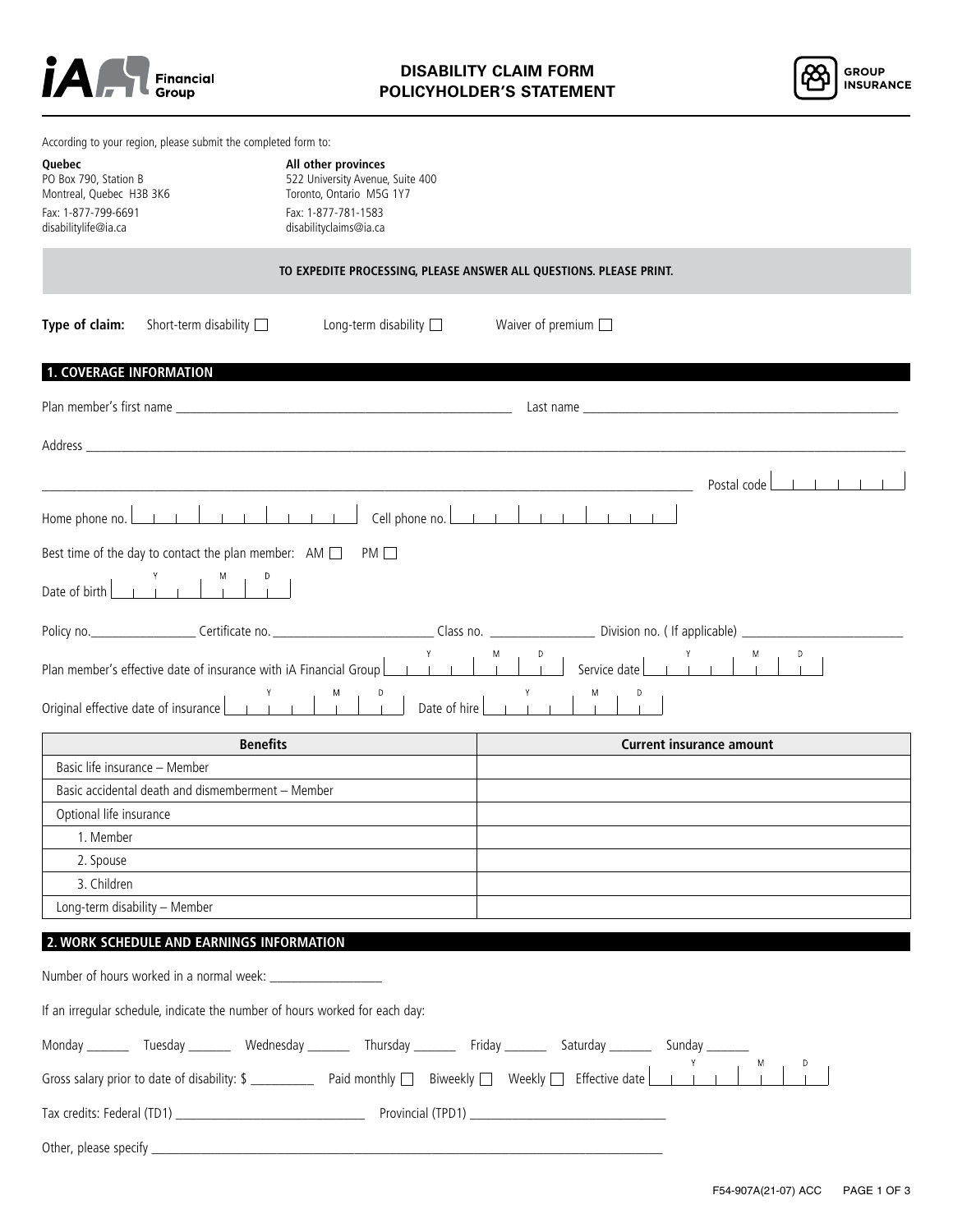



|                                                   | According to your region, please submit the completed form to:                   |                                                                                                                                                                                                                                |                                                                    |                                 |
|---------------------------------------------------|----------------------------------------------------------------------------------|--------------------------------------------------------------------------------------------------------------------------------------------------------------------------------------------------------------------------------|--------------------------------------------------------------------|---------------------------------|
| Quebec                                            |                                                                                  | All other provinces                                                                                                                                                                                                            |                                                                    |                                 |
| PO Box 790, Station B<br>Montreal, Quebec H3B 3K6 |                                                                                  | 522 University Avenue, Suite 400<br>Toronto, Ontario M5G 1Y7                                                                                                                                                                   |                                                                    |                                 |
| Fax: 1-877-799-6691                               |                                                                                  | Fax: 1-877-781-1583                                                                                                                                                                                                            |                                                                    |                                 |
| disabilitylife@ia.ca                              |                                                                                  | disabilityclaims@ia.ca                                                                                                                                                                                                         |                                                                    |                                 |
|                                                   |                                                                                  |                                                                                                                                                                                                                                | TO EXPEDITE PROCESSING, PLEASE ANSWER ALL QUESTIONS. PLEASE PRINT. |                                 |
| Type of claim:                                    | Short-term disability $\square$                                                  | Long-term disability $\square$                                                                                                                                                                                                 | Waiver of premium $\square$                                        |                                 |
| <b>1. COVERAGE INFORMATION</b>                    |                                                                                  |                                                                                                                                                                                                                                |                                                                    |                                 |
|                                                   |                                                                                  |                                                                                                                                                                                                                                |                                                                    |                                 |
|                                                   |                                                                                  | Address and the contract of the contract of the contract of the contract of the contract of the contract of the contract of the contract of the contract of the contract of the contract of the contract of the contract of th |                                                                    |                                 |
|                                                   |                                                                                  |                                                                                                                                                                                                                                |                                                                    | Postal code                     |
| Home phone no.                                    |                                                                                  | Cell phone no. L                                                                                                                                                                                                               | $-1$ $-1$<br>$-1 - 1 - 1$                                          |                                 |
|                                                   | Best time of the day to contact the plan member: $AM \Box$                       | PM                                                                                                                                                                                                                             |                                                                    |                                 |
| Date of birth                                     |                                                                                  |                                                                                                                                                                                                                                |                                                                    |                                 |
|                                                   | Policy no._______________________Certificate no.________________________________ |                                                                                                                                                                                                                                | Class no. ________________________ Division no. (If applicable)    |                                 |
|                                                   | Plan member's effective date of insurance with iA Financial Group                |                                                                                                                                                                                                                                | Service date                                                       |                                 |
| Original effective date of insurance [            |                                                                                  | Date of hire                                                                                                                                                                                                                   |                                                                    |                                 |
|                                                   | <b>Benefits</b>                                                                  |                                                                                                                                                                                                                                |                                                                    | <b>Current insurance amount</b> |
| Basic life insurance - Member                     |                                                                                  |                                                                                                                                                                                                                                |                                                                    |                                 |
|                                                   | Basic accidental death and dismemberment - Member                                |                                                                                                                                                                                                                                |                                                                    |                                 |
| Optional life insurance                           |                                                                                  |                                                                                                                                                                                                                                |                                                                    |                                 |
| 1. Member                                         |                                                                                  |                                                                                                                                                                                                                                |                                                                    |                                 |
| 2. Spouse                                         |                                                                                  |                                                                                                                                                                                                                                |                                                                    |                                 |
| 3. Children                                       |                                                                                  |                                                                                                                                                                                                                                |                                                                    |                                 |
|                                                   | Long-term disability - Member                                                    |                                                                                                                                                                                                                                |                                                                    |                                 |
|                                                   | 2. WORK SCHEDULE AND EARNINGS INFORMATION                                        |                                                                                                                                                                                                                                |                                                                    |                                 |
|                                                   | Number of hours worked in a normal week:                                         |                                                                                                                                                                                                                                |                                                                    |                                 |
|                                                   | If an irregular schedule, indicate the number of hours worked for each day:      |                                                                                                                                                                                                                                |                                                                    |                                 |
|                                                   |                                                                                  |                                                                                                                                                                                                                                |                                                                    |                                 |
|                                                   |                                                                                  |                                                                                                                                                                                                                                |                                                                    |                                 |
|                                                   |                                                                                  |                                                                                                                                                                                                                                |                                                                    |                                 |
|                                                   |                                                                                  |                                                                                                                                                                                                                                |                                                                    |                                 |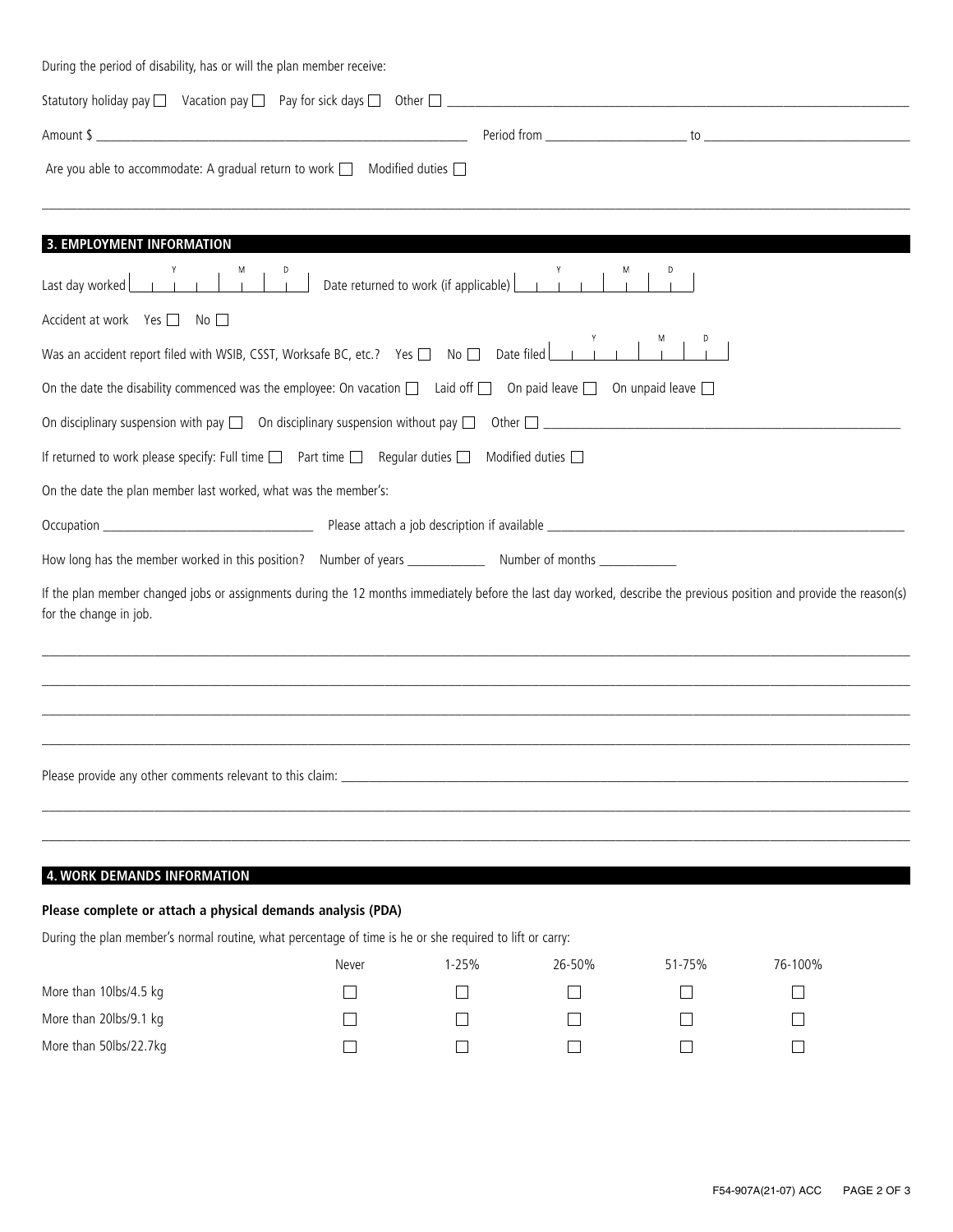| During the period of disability, has or will the plan member receive:                                                                                                                                                          |                          |                                                     |        |        |                   |
|--------------------------------------------------------------------------------------------------------------------------------------------------------------------------------------------------------------------------------|--------------------------|-----------------------------------------------------|--------|--------|-------------------|
| Statutory holiday pay and Macation pay and Pay for sick days and Other and Macadian and Communication of Macation pay and Pay for sick days and Other and Macadian and Macadian and Macadian and Macadian and Macadian and Mac |                          |                                                     |        |        |                   |
|                                                                                                                                                                                                                                |                          |                                                     |        |        |                   |
| Are you able to accommodate: A gradual return to work □ Modified duties □                                                                                                                                                      |                          |                                                     |        |        |                   |
| 3. EMPLOYMENT INFORMATION                                                                                                                                                                                                      |                          |                                                     |        |        |                   |
| $\begin{array}{c c c c c c} \mathsf{Y} & \mathsf{M} & \mathsf{D} \\ \hline & \mathsf{I} & \mathsf{I} & \mathsf{I} \end{array}$<br>Last day worked                                                                              |                          | Date returned to work (if applicable) <b>Lating</b> |        |        |                   |
| Accident at work Yes □ No                                                                                                                                                                                                      |                          |                                                     |        |        |                   |
| Was an accident report filed with WSIB, CSST, Worksafe BC, etc.? Yes $\Box$ No $\Box$ Date filed $\Box$                                                                                                                        |                          |                                                     |        |        |                   |
| On the date the disability commenced was the employee: On vacation $\Box$ Laid off $\Box$ On paid leave $\Box$ On unpaid leave $\Box$                                                                                          |                          |                                                     |        |        |                   |
|                                                                                                                                                                                                                                |                          |                                                     |        |        |                   |
| If returned to work please specify: Full time $\Box$ Part time $\Box$ Regular duties $\Box$ Modified duties $\Box$                                                                                                             |                          |                                                     |        |        |                   |
| On the date the plan member last worked, what was the member's:                                                                                                                                                                |                          |                                                     |        |        |                   |
|                                                                                                                                                                                                                                |                          |                                                     |        |        |                   |
|                                                                                                                                                                                                                                |                          |                                                     |        |        |                   |
| If the plan member changed jobs or assignments during the 12 months immediately before the last day worked, describe the previous position and provide the reason(s)<br>for the change in job.                                 |                          |                                                     |        |        |                   |
|                                                                                                                                                                                                                                |                          |                                                     |        |        |                   |
|                                                                                                                                                                                                                                |                          |                                                     |        |        |                   |
|                                                                                                                                                                                                                                |                          |                                                     |        |        |                   |
| 4. WORK DEMANDS INFORMATION                                                                                                                                                                                                    |                          |                                                     |        |        |                   |
| Please complete or attach a physical demands analysis (PDA)<br>During the plan member's normal routine, what percentage of time is he or she required to lift or carry:                                                        |                          |                                                     |        |        |                   |
|                                                                                                                                                                                                                                | Never                    | $1 - 25%$                                           | 26-50% | 51-75% | 76-100%           |
| More than 10lbs/4.5 kg                                                                                                                                                                                                         | L                        |                                                     |        |        | $\Box$            |
| More than 20lbs/9.1 kg                                                                                                                                                                                                         | L                        |                                                     |        |        | $\vert \ \ \vert$ |
| More than 50lbs/22.7kg                                                                                                                                                                                                         | $\overline{\phantom{0}}$ |                                                     |        |        | $\mathsf{L}$      |